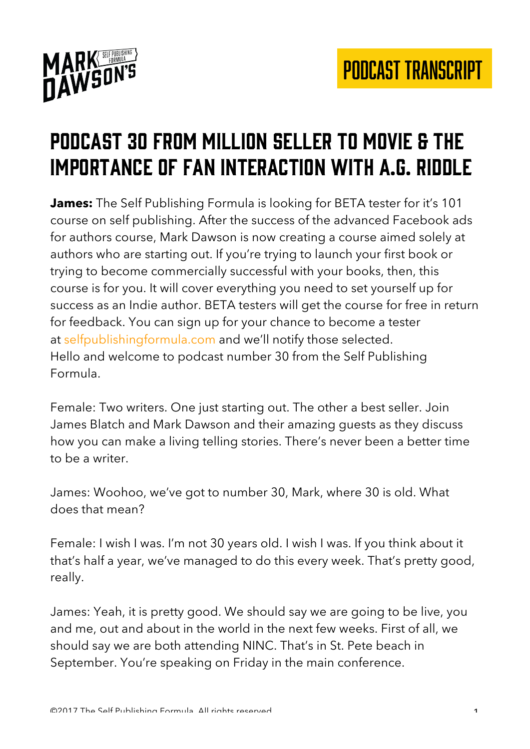

## Podcast 30 from million seller to movie & the importance of fan interaction WITH A.G. RIDDLE

**James:** The Self Publishing Formula is looking for BETA tester for it's 101 course on self publishing. After the success of the advanced Facebook ads for authors course, Mark Dawson is now creating a course aimed solely at authors who are starting out. If you're trying to launch your first book or trying to become commercially successful with your books, then, this course is for you. It will cover everything you need to set yourself up for success as an Indie author. BETA testers will get the course for free in return for feedback. You can sign up for your chance to become a tester at selfpublishingformula.com and we'll notify those selected. Hello and welcome to podcast number 30 from the Self Publishing Formula.

Female: Two writers. One just starting out. The other a best seller. Join James Blatch and Mark Dawson and their amazing guests as they discuss how you can make a living telling stories. There's never been a better time to be a writer.

James: Woohoo, we've got to number 30, Mark, where 30 is old. What does that mean?

Female: I wish I was. I'm not 30 years old. I wish I was. If you think about it that's half a year, we've managed to do this every week. That's pretty good, really.

James: Yeah, it is pretty good. We should say we are going to be live, you and me, out and about in the world in the next few weeks. First of all, we should say we are both attending NINC. That's in St. Pete beach in September. You're speaking on Friday in the main conference.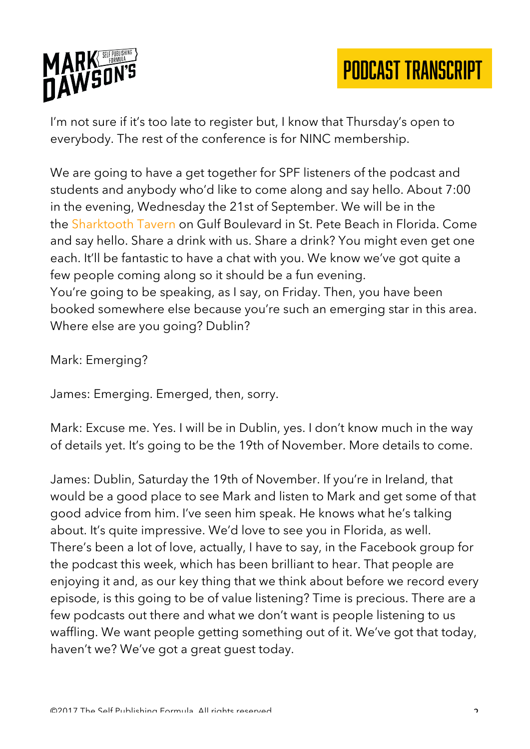

I'm not sure if it's too late to register but, I know that Thursday's open to everybody. The rest of the conference is for NINC membership.

We are going to have a get together for SPF listeners of the podcast and students and anybody who'd like to come along and say hello. About 7:00 in the evening, Wednesday the 21st of September. We will be in the the Sharktooth Tavern on Gulf Boulevard in St. Pete Beach in Florida. Come and say hello. Share a drink with us. Share a drink? You might even get one each. It'll be fantastic to have a chat with you. We know we've got quite a few people coming along so it should be a fun evening. You're going to be speaking, as I say, on Friday. Then, you have been booked somewhere else because you're such an emerging star in this area. Where else are you going? Dublin?

Mark: Emerging?

James: Emerging. Emerged, then, sorry.

Mark: Excuse me. Yes. I will be in Dublin, yes. I don't know much in the way of details yet. It's going to be the 19th of November. More details to come.

James: Dublin, Saturday the 19th of November. If you're in Ireland, that would be a good place to see Mark and listen to Mark and get some of that good advice from him. I've seen him speak. He knows what he's talking about. It's quite impressive. We'd love to see you in Florida, as well. There's been a lot of love, actually, I have to say, in the Facebook group for the podcast this week, which has been brilliant to hear. That people are enjoying it and, as our key thing that we think about before we record every episode, is this going to be of value listening? Time is precious. There are a few podcasts out there and what we don't want is people listening to us waffling. We want people getting something out of it. We've got that today, haven't we? We've got a great guest today.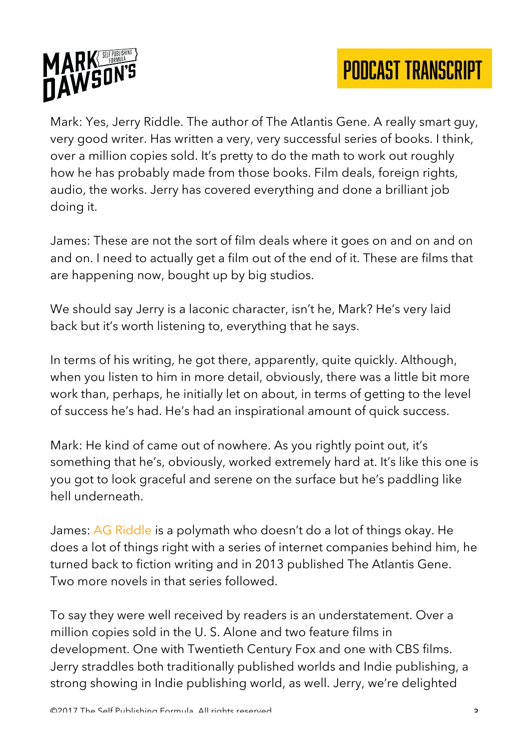

Mark: Yes, Jerry Riddle. The author of The Atlantis Gene. A really smart guy, very good writer. Has written a very, very successful series of books. I think, over a million copies sold. It's pretty to do the math to work out roughly how he has probably made from those books. Film deals, foreign rights, audio, the works. Jerry has covered everything and done a brilliant job doing it.

James: These are not the sort of film deals where it goes on and on and on and on. I need to actually get a film out of the end of it. These are films that are happening now, bought up by big studios.

We should say Jerry is a laconic character, isn't he, Mark? He's very laid back but it's worth listening to, everything that he says.

In terms of his writing, he got there, apparently, quite quickly. Although, when you listen to him in more detail, obviously, there was a little bit more work than, perhaps, he initially let on about, in terms of getting to the level of success he's had. He's had an inspirational amount of quick success.

Mark: He kind of came out of nowhere. As you rightly point out, it's something that he's, obviously, worked extremely hard at. It's like this one is you got to look graceful and serene on the surface but he's paddling like hell underneath.

James: AG Riddle is a polymath who doesn't do a lot of things okay. He does a lot of things right with a series of internet companies behind him, he turned back to fiction writing and in 2013 published The Atlantis Gene. Two more novels in that series followed.

To say they were well received by readers is an understatement. Over a million copies sold in the U. S. Alone and two feature films in development. One with Twentieth Century Fox and one with CBS films. Jerry straddles both traditionally published worlds and Indie publishing, a strong showing in Indie publishing world, as well. Jerry, we're delighted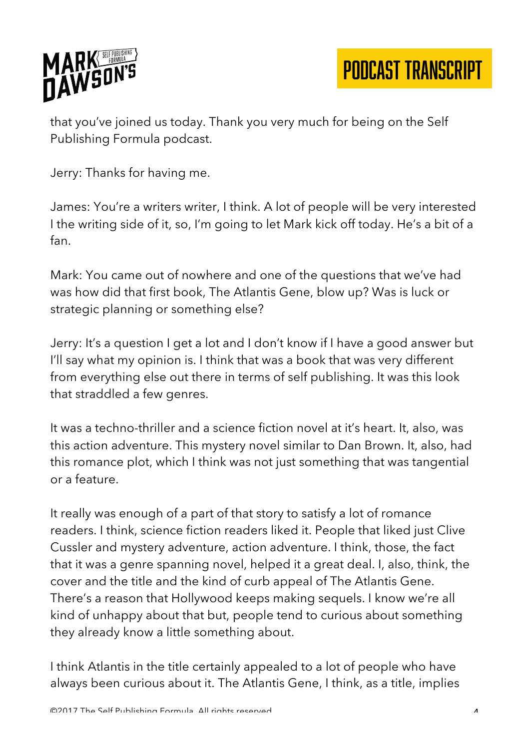

that you've joined us today. Thank you very much for being on the Self Publishing Formula podcast.

Jerry: Thanks for having me.

James: You're a writers writer, I think. A lot of people will be very interested I the writing side of it, so, I'm going to let Mark kick off today. He's a bit of a fan.

Mark: You came out of nowhere and one of the questions that we've had was how did that first book, The Atlantis Gene, blow up? Was is luck or strategic planning or something else?

Jerry: It's a question I get a lot and I don't know if I have a good answer but I'll say what my opinion is. I think that was a book that was very different from everything else out there in terms of self publishing. It was this look that straddled a few genres.

It was a techno-thriller and a science fiction novel at it's heart. It, also, was this action adventure. This mystery novel similar to Dan Brown. It, also, had this romance plot, which I think was not just something that was tangential or a feature.

It really was enough of a part of that story to satisfy a lot of romance readers. I think, science fiction readers liked it. People that liked just Clive Cussler and mystery adventure, action adventure. I think, those, the fact that it was a genre spanning novel, helped it a great deal. I, also, think, the cover and the title and the kind of curb appeal of The Atlantis Gene. There's a reason that Hollywood keeps making sequels. I know we're all kind of unhappy about that but, people tend to curious about something they already know a little something about.

I think Atlantis in the title certainly appealed to a lot of people who have always been curious about it. The Atlantis Gene, I think, as a title, implies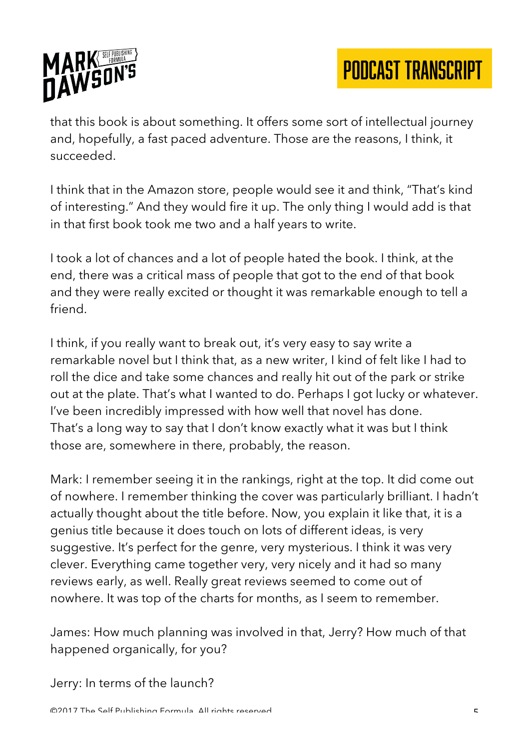

that this book is about something. It offers some sort of intellectual journey and, hopefully, a fast paced adventure. Those are the reasons, I think, it succeeded.

I think that in the Amazon store, people would see it and think, "That's kind of interesting." And they would fire it up. The only thing I would add is that in that first book took me two and a half years to write.

I took a lot of chances and a lot of people hated the book. I think, at the end, there was a critical mass of people that got to the end of that book and they were really excited or thought it was remarkable enough to tell a friend.

I think, if you really want to break out, it's very easy to say write a remarkable novel but I think that, as a new writer, I kind of felt like I had to roll the dice and take some chances and really hit out of the park or strike out at the plate. That's what I wanted to do. Perhaps I got lucky or whatever. I've been incredibly impressed with how well that novel has done. That's a long way to say that I don't know exactly what it was but I think those are, somewhere in there, probably, the reason.

Mark: I remember seeing it in the rankings, right at the top. It did come out of nowhere. I remember thinking the cover was particularly brilliant. I hadn't actually thought about the title before. Now, you explain it like that, it is a genius title because it does touch on lots of different ideas, is very suggestive. It's perfect for the genre, very mysterious. I think it was very clever. Everything came together very, very nicely and it had so many reviews early, as well. Really great reviews seemed to come out of nowhere. It was top of the charts for months, as I seem to remember.

James: How much planning was involved in that, Jerry? How much of that happened organically, for you?

Jerry: In terms of the launch?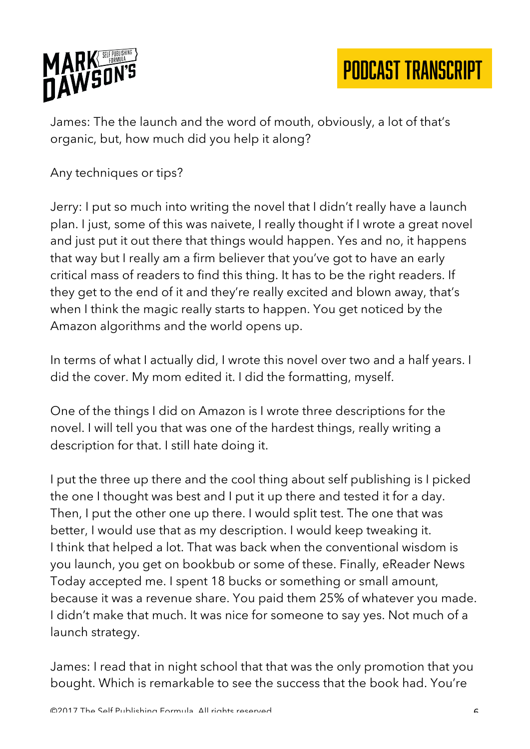

James: The the launch and the word of mouth, obviously, a lot of that's organic, but, how much did you help it along?

Any techniques or tips?

Jerry: I put so much into writing the novel that I didn't really have a launch plan. I just, some of this was naivete, I really thought if I wrote a great novel and just put it out there that things would happen. Yes and no, it happens that way but I really am a firm believer that you've got to have an early critical mass of readers to find this thing. It has to be the right readers. If they get to the end of it and they're really excited and blown away, that's when I think the magic really starts to happen. You get noticed by the Amazon algorithms and the world opens up.

In terms of what I actually did, I wrote this novel over two and a half years. I did the cover. My mom edited it. I did the formatting, myself.

One of the things I did on Amazon is I wrote three descriptions for the novel. I will tell you that was one of the hardest things, really writing a description for that. I still hate doing it.

I put the three up there and the cool thing about self publishing is I picked the one I thought was best and I put it up there and tested it for a day. Then, I put the other one up there. I would split test. The one that was better, I would use that as my description. I would keep tweaking it. I think that helped a lot. That was back when the conventional wisdom is you launch, you get on bookbub or some of these. Finally, eReader News Today accepted me. I spent 18 bucks or something or small amount, because it was a revenue share. You paid them 25% of whatever you made. I didn't make that much. It was nice for someone to say yes. Not much of a launch strategy.

James: I read that in night school that that was the only promotion that you bought. Which is remarkable to see the success that the book had. You're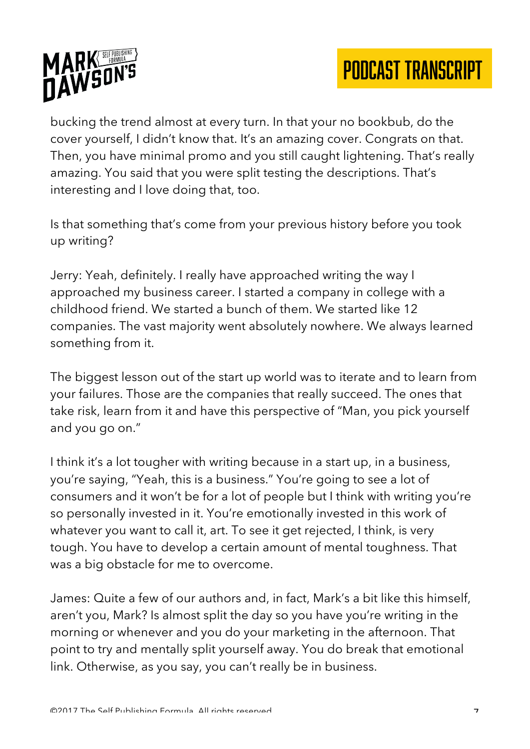

bucking the trend almost at every turn. In that your no bookbub, do the cover yourself, I didn't know that. It's an amazing cover. Congrats on that. Then, you have minimal promo and you still caught lightening. That's really amazing. You said that you were split testing the descriptions. That's interesting and I love doing that, too.

Is that something that's come from your previous history before you took up writing?

Jerry: Yeah, definitely. I really have approached writing the way I approached my business career. I started a company in college with a childhood friend. We started a bunch of them. We started like 12 companies. The vast majority went absolutely nowhere. We always learned something from it.

The biggest lesson out of the start up world was to iterate and to learn from your failures. Those are the companies that really succeed. The ones that take risk, learn from it and have this perspective of "Man, you pick yourself and you go on."

I think it's a lot tougher with writing because in a start up, in a business, you're saying, "Yeah, this is a business." You're going to see a lot of consumers and it won't be for a lot of people but I think with writing you're so personally invested in it. You're emotionally invested in this work of whatever you want to call it, art. To see it get rejected, I think, is very tough. You have to develop a certain amount of mental toughness. That was a big obstacle for me to overcome.

James: Quite a few of our authors and, in fact, Mark's a bit like this himself, aren't you, Mark? Is almost split the day so you have you're writing in the morning or whenever and you do your marketing in the afternoon. That point to try and mentally split yourself away. You do break that emotional link. Otherwise, as you say, you can't really be in business.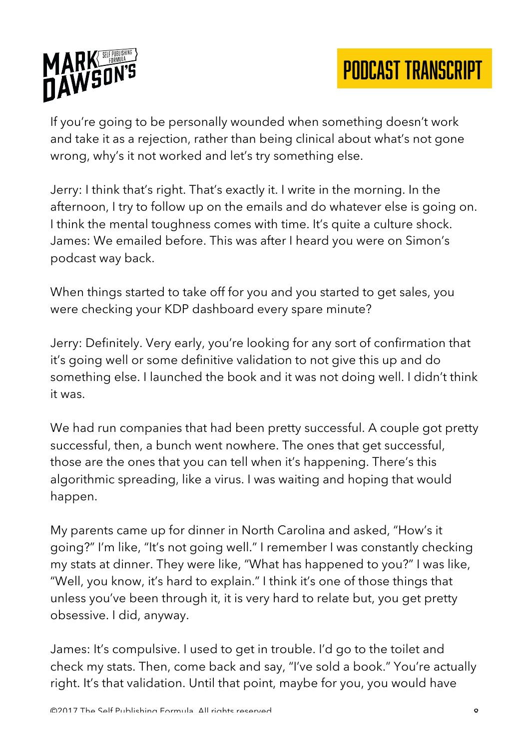



If you're going to be personally wounded when something doesn't work and take it as a rejection, rather than being clinical about what's not gone wrong, why's it not worked and let's try something else.

Jerry: I think that's right. That's exactly it. I write in the morning. In the afternoon, I try to follow up on the emails and do whatever else is going on. I think the mental toughness comes with time. It's quite a culture shock. James: We emailed before. This was after I heard you were on Simon's podcast way back.

When things started to take off for you and you started to get sales, you were checking your KDP dashboard every spare minute?

Jerry: Definitely. Very early, you're looking for any sort of confirmation that it's going well or some definitive validation to not give this up and do something else. I launched the book and it was not doing well. I didn't think it was.

We had run companies that had been pretty successful. A couple got pretty successful, then, a bunch went nowhere. The ones that get successful, those are the ones that you can tell when it's happening. There's this algorithmic spreading, like a virus. I was waiting and hoping that would happen.

My parents came up for dinner in North Carolina and asked, "How's it going?" I'm like, "It's not going well." I remember I was constantly checking my stats at dinner. They were like, "What has happened to you?" I was like, "Well, you know, it's hard to explain." I think it's one of those things that unless you've been through it, it is very hard to relate but, you get pretty obsessive. I did, anyway.

James: It's compulsive. I used to get in trouble. I'd go to the toilet and check my stats. Then, come back and say, "I've sold a book." You're actually right. It's that validation. Until that point, maybe for you, you would have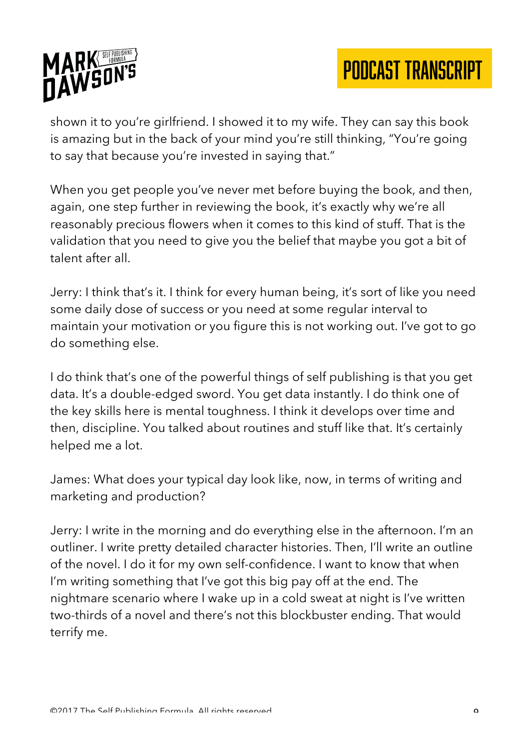

shown it to you're girlfriend. I showed it to my wife. They can say this book is amazing but in the back of your mind you're still thinking, "You're going to say that because you're invested in saying that."

When you get people you've never met before buying the book, and then, again, one step further in reviewing the book, it's exactly why we're all reasonably precious flowers when it comes to this kind of stuff. That is the validation that you need to give you the belief that maybe you got a bit of talent after all.

Jerry: I think that's it. I think for every human being, it's sort of like you need some daily dose of success or you need at some regular interval to maintain your motivation or you figure this is not working out. I've got to go do something else.

I do think that's one of the powerful things of self publishing is that you get data. It's a double-edged sword. You get data instantly. I do think one of the key skills here is mental toughness. I think it develops over time and then, discipline. You talked about routines and stuff like that. It's certainly helped me a lot.

James: What does your typical day look like, now, in terms of writing and marketing and production?

Jerry: I write in the morning and do everything else in the afternoon. I'm an outliner. I write pretty detailed character histories. Then, I'll write an outline of the novel. I do it for my own self-confidence. I want to know that when I'm writing something that I've got this big pay off at the end. The nightmare scenario where I wake up in a cold sweat at night is I've written two-thirds of a novel and there's not this blockbuster ending. That would terrify me.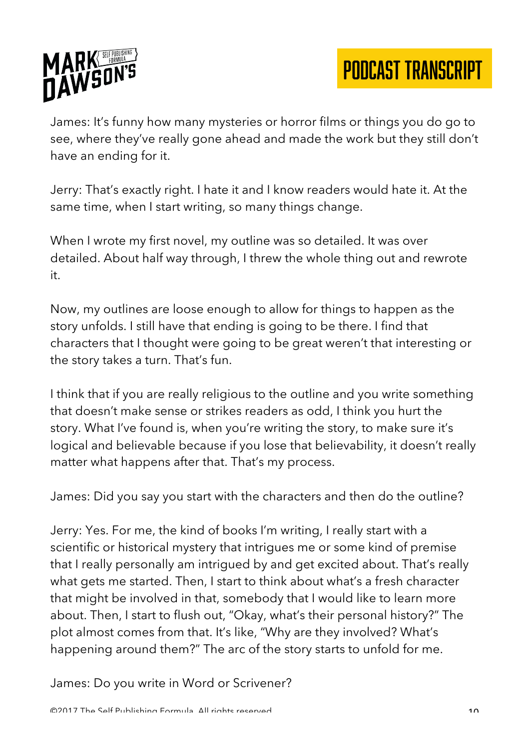

James: It's funny how many mysteries or horror films or things you do go to see, where they've really gone ahead and made the work but they still don't have an ending for it.

Jerry: That's exactly right. I hate it and I know readers would hate it. At the same time, when I start writing, so many things change.

When I wrote my first novel, my outline was so detailed. It was over detailed. About half way through, I threw the whole thing out and rewrote it.

Now, my outlines are loose enough to allow for things to happen as the story unfolds. I still have that ending is going to be there. I find that characters that I thought were going to be great weren't that interesting or the story takes a turn. That's fun.

I think that if you are really religious to the outline and you write something that doesn't make sense or strikes readers as odd, I think you hurt the story. What I've found is, when you're writing the story, to make sure it's logical and believable because if you lose that believability, it doesn't really matter what happens after that. That's my process.

James: Did you say you start with the characters and then do the outline?

Jerry: Yes. For me, the kind of books I'm writing, I really start with a scientific or historical mystery that intrigues me or some kind of premise that I really personally am intrigued by and get excited about. That's really what gets me started. Then, I start to think about what's a fresh character that might be involved in that, somebody that I would like to learn more about. Then, I start to flush out, "Okay, what's their personal history?" The plot almost comes from that. It's like, "Why are they involved? What's happening around them?" The arc of the story starts to unfold for me.

James: Do you write in Word or Scrivener?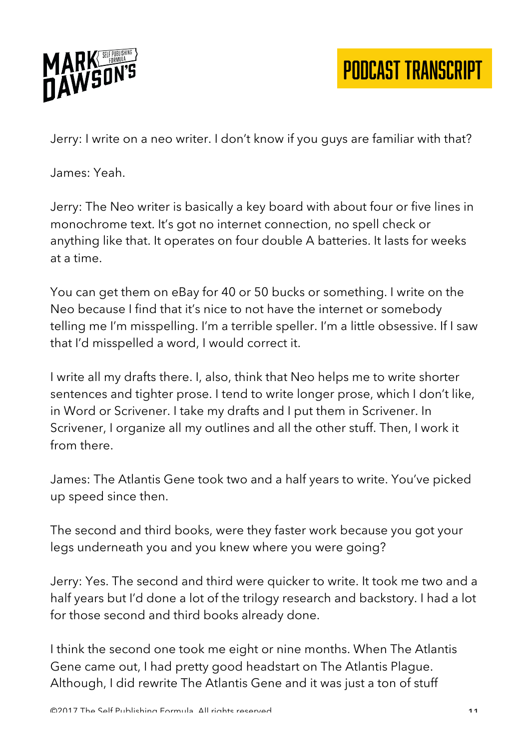

Jerry: I write on a neo writer. I don't know if you guys are familiar with that?

James: Yeah.

Jerry: The Neo writer is basically a key board with about four or five lines in monochrome text. It's got no internet connection, no spell check or anything like that. It operates on four double A batteries. It lasts for weeks at a time.

You can get them on eBay for 40 or 50 bucks or something. I write on the Neo because I find that it's nice to not have the internet or somebody telling me I'm misspelling. I'm a terrible speller. I'm a little obsessive. If I saw that I'd misspelled a word, I would correct it.

I write all my drafts there. I, also, think that Neo helps me to write shorter sentences and tighter prose. I tend to write longer prose, which I don't like, in Word or Scrivener. I take my drafts and I put them in Scrivener. In Scrivener, I organize all my outlines and all the other stuff. Then, I work it from there.

James: The Atlantis Gene took two and a half years to write. You've picked up speed since then.

The second and third books, were they faster work because you got your legs underneath you and you knew where you were going?

Jerry: Yes. The second and third were quicker to write. It took me two and a half years but I'd done a lot of the trilogy research and backstory. I had a lot for those second and third books already done.

I think the second one took me eight or nine months. When The Atlantis Gene came out, I had pretty good headstart on The Atlantis Plague. Although, I did rewrite The Atlantis Gene and it was just a ton of stuff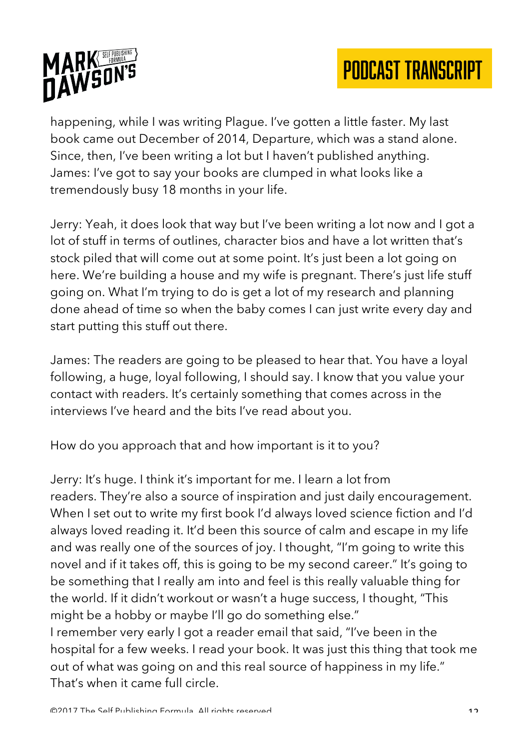

happening, while I was writing Plague. I've gotten a little faster. My last book came out December of 2014, Departure, which was a stand alone. Since, then, I've been writing a lot but I haven't published anything. James: I've got to say your books are clumped in what looks like a tremendously busy 18 months in your life.

Jerry: Yeah, it does look that way but I've been writing a lot now and I got a lot of stuff in terms of outlines, character bios and have a lot written that's stock piled that will come out at some point. It's just been a lot going on here. We're building a house and my wife is pregnant. There's just life stuff going on. What I'm trying to do is get a lot of my research and planning done ahead of time so when the baby comes I can just write every day and start putting this stuff out there.

James: The readers are going to be pleased to hear that. You have a loyal following, a huge, loyal following, I should say. I know that you value your contact with readers. It's certainly something that comes across in the interviews I've heard and the bits I've read about you.

How do you approach that and how important is it to you?

Jerry: It's huge. I think it's important for me. I learn a lot from readers. They're also a source of inspiration and just daily encouragement. When I set out to write my first book I'd always loved science fiction and I'd always loved reading it. It'd been this source of calm and escape in my life and was really one of the sources of joy. I thought, "I'm going to write this novel and if it takes off, this is going to be my second career." It's going to be something that I really am into and feel is this really valuable thing for the world. If it didn't workout or wasn't a huge success, I thought, "This might be a hobby or maybe I'll go do something else."

I remember very early I got a reader email that said, "I've been in the hospital for a few weeks. I read your book. It was just this thing that took me out of what was going on and this real source of happiness in my life." That's when it came full circle.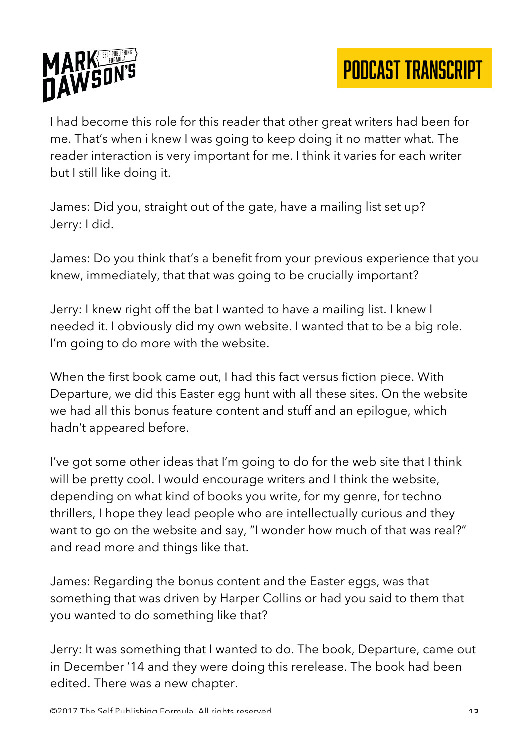

I had become this role for this reader that other great writers had been for me. That's when i knew I was going to keep doing it no matter what. The reader interaction is very important for me. I think it varies for each writer but I still like doing it.

James: Did you, straight out of the gate, have a mailing list set up? Jerry: I did.

James: Do you think that's a benefit from your previous experience that you knew, immediately, that that was going to be crucially important?

Jerry: I knew right off the bat I wanted to have a mailing list. I knew I needed it. I obviously did my own website. I wanted that to be a big role. I'm going to do more with the website.

When the first book came out, I had this fact versus fiction piece. With Departure, we did this Easter egg hunt with all these sites. On the website we had all this bonus feature content and stuff and an epilogue, which hadn't appeared before.

I've got some other ideas that I'm going to do for the web site that I think will be pretty cool. I would encourage writers and I think the website, depending on what kind of books you write, for my genre, for techno thrillers, I hope they lead people who are intellectually curious and they want to go on the website and say, "I wonder how much of that was real?" and read more and things like that.

James: Regarding the bonus content and the Easter eggs, was that something that was driven by Harper Collins or had you said to them that you wanted to do something like that?

Jerry: It was something that I wanted to do. The book, Departure, came out in December '14 and they were doing this rerelease. The book had been edited. There was a new chapter.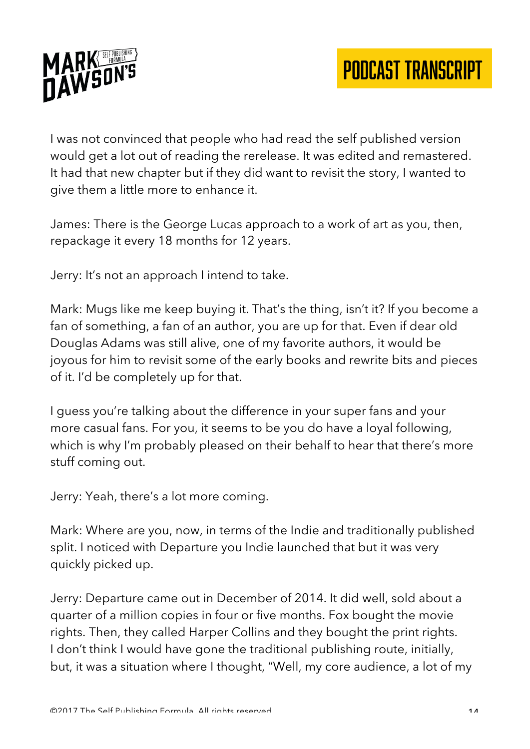



I was not convinced that people who had read the self published version would get a lot out of reading the rerelease. It was edited and remastered. It had that new chapter but if they did want to revisit the story, I wanted to give them a little more to enhance it.

James: There is the George Lucas approach to a work of art as you, then, repackage it every 18 months for 12 years.

Jerry: It's not an approach I intend to take.

Mark: Mugs like me keep buying it. That's the thing, isn't it? If you become a fan of something, a fan of an author, you are up for that. Even if dear old Douglas Adams was still alive, one of my favorite authors, it would be joyous for him to revisit some of the early books and rewrite bits and pieces of it. I'd be completely up for that.

I guess you're talking about the difference in your super fans and your more casual fans. For you, it seems to be you do have a loyal following, which is why I'm probably pleased on their behalf to hear that there's more stuff coming out.

Jerry: Yeah, there's a lot more coming.

Mark: Where are you, now, in terms of the Indie and traditionally published split. I noticed with Departure you Indie launched that but it was very quickly picked up.

Jerry: Departure came out in December of 2014. It did well, sold about a quarter of a million copies in four or five months. Fox bought the movie rights. Then, they called Harper Collins and they bought the print rights. I don't think I would have gone the traditional publishing route, initially, but, it was a situation where I thought, "Well, my core audience, a lot of my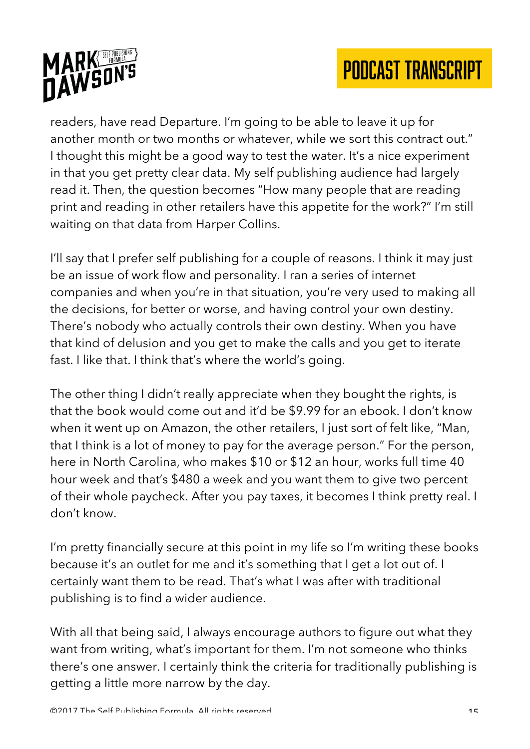



readers, have read Departure. I'm going to be able to leave it up for another month or two months or whatever, while we sort this contract out." I thought this might be a good way to test the water. It's a nice experiment in that you get pretty clear data. My self publishing audience had largely read it. Then, the question becomes "How many people that are reading print and reading in other retailers have this appetite for the work?" I'm still waiting on that data from Harper Collins.

I'll say that I prefer self publishing for a couple of reasons. I think it may just be an issue of work flow and personality. I ran a series of internet companies and when you're in that situation, you're very used to making all the decisions, for better or worse, and having control your own destiny. There's nobody who actually controls their own destiny. When you have that kind of delusion and you get to make the calls and you get to iterate fast. I like that. I think that's where the world's going.

The other thing I didn't really appreciate when they bought the rights, is that the book would come out and it'd be \$9.99 for an ebook. I don't know when it went up on Amazon, the other retailers, I just sort of felt like, "Man, that I think is a lot of money to pay for the average person." For the person, here in North Carolina, who makes \$10 or \$12 an hour, works full time 40 hour week and that's \$480 a week and you want them to give two percent of their whole paycheck. After you pay taxes, it becomes I think pretty real. I don't know.

I'm pretty financially secure at this point in my life so I'm writing these books because it's an outlet for me and it's something that I get a lot out of. I certainly want them to be read. That's what I was after with traditional publishing is to find a wider audience.

With all that being said, I always encourage authors to figure out what they want from writing, what's important for them. I'm not someone who thinks there's one answer. I certainly think the criteria for traditionally publishing is getting a little more narrow by the day.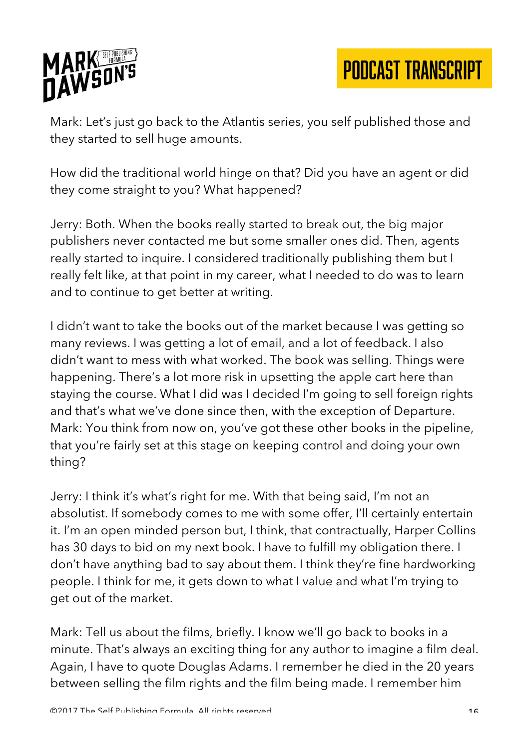

Mark: Let's just go back to the Atlantis series, you self published those and they started to sell huge amounts.

How did the traditional world hinge on that? Did you have an agent or did they come straight to you? What happened?

Jerry: Both. When the books really started to break out, the big major publishers never contacted me but some smaller ones did. Then, agents really started to inquire. I considered traditionally publishing them but I really felt like, at that point in my career, what I needed to do was to learn and to continue to get better at writing.

I didn't want to take the books out of the market because I was getting so many reviews. I was getting a lot of email, and a lot of feedback. I also didn't want to mess with what worked. The book was selling. Things were happening. There's a lot more risk in upsetting the apple cart here than staying the course. What I did was I decided I'm going to sell foreign rights and that's what we've done since then, with the exception of Departure. Mark: You think from now on, you've got these other books in the pipeline, that you're fairly set at this stage on keeping control and doing your own thing?

Jerry: I think it's what's right for me. With that being said, I'm not an absolutist. If somebody comes to me with some offer, I'll certainly entertain it. I'm an open minded person but, I think, that contractually, Harper Collins has 30 days to bid on my next book. I have to fulfill my obligation there. I don't have anything bad to say about them. I think they're fine hardworking people. I think for me, it gets down to what I value and what I'm trying to get out of the market.

Mark: Tell us about the films, briefly. I know we'll go back to books in a minute. That's always an exciting thing for any author to imagine a film deal. Again, I have to quote Douglas Adams. I remember he died in the 20 years between selling the film rights and the film being made. I remember him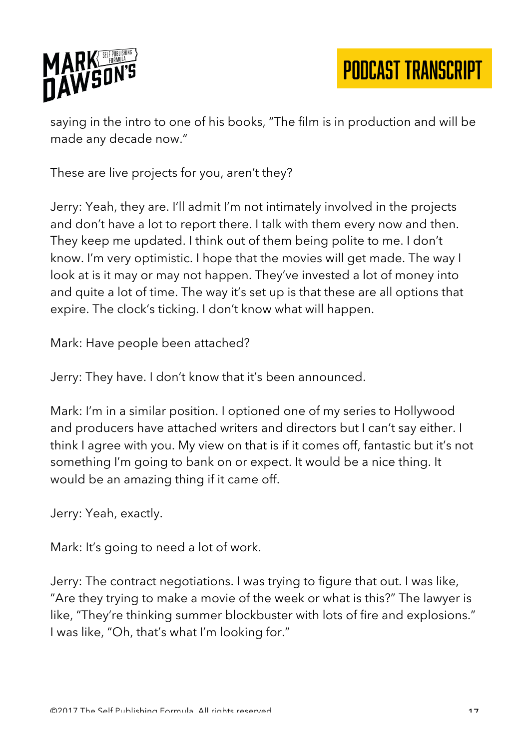

saying in the intro to one of his books, "The film is in production and will be made any decade now."

These are live projects for you, aren't they?

Jerry: Yeah, they are. I'll admit I'm not intimately involved in the projects and don't have a lot to report there. I talk with them every now and then. They keep me updated. I think out of them being polite to me. I don't know. I'm very optimistic. I hope that the movies will get made. The way I look at is it may or may not happen. They've invested a lot of money into and quite a lot of time. The way it's set up is that these are all options that expire. The clock's ticking. I don't know what will happen.

Mark: Have people been attached?

Jerry: They have. I don't know that it's been announced.

Mark: I'm in a similar position. I optioned one of my series to Hollywood and producers have attached writers and directors but I can't say either. I think I agree with you. My view on that is if it comes off, fantastic but it's not something I'm going to bank on or expect. It would be a nice thing. It would be an amazing thing if it came off.

Jerry: Yeah, exactly.

Mark: It's going to need a lot of work.

Jerry: The contract negotiations. I was trying to figure that out. I was like, "Are they trying to make a movie of the week or what is this?" The lawyer is like, "They're thinking summer blockbuster with lots of fire and explosions." I was like, "Oh, that's what I'm looking for."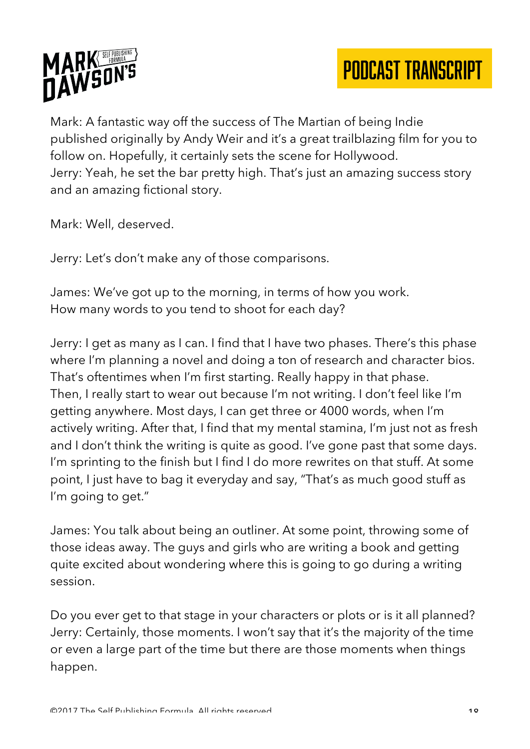



Mark: A fantastic way off the success of The Martian of being Indie published originally by Andy Weir and it's a great trailblazing film for you to follow on. Hopefully, it certainly sets the scene for Hollywood. Jerry: Yeah, he set the bar pretty high. That's just an amazing success story and an amazing fictional story.

Mark: Well, deserved.

Jerry: Let's don't make any of those comparisons.

James: We've got up to the morning, in terms of how you work. How many words to you tend to shoot for each day?

Jerry: I get as many as I can. I find that I have two phases. There's this phase where I'm planning a novel and doing a ton of research and character bios. That's oftentimes when I'm first starting. Really happy in that phase. Then, I really start to wear out because I'm not writing. I don't feel like I'm getting anywhere. Most days, I can get three or 4000 words, when I'm actively writing. After that, I find that my mental stamina, I'm just not as fresh and I don't think the writing is quite as good. I've gone past that some days. I'm sprinting to the finish but I find I do more rewrites on that stuff. At some point, I just have to bag it everyday and say, "That's as much good stuff as I'm going to get."

James: You talk about being an outliner. At some point, throwing some of those ideas away. The guys and girls who are writing a book and getting quite excited about wondering where this is going to go during a writing session.

Do you ever get to that stage in your characters or plots or is it all planned? Jerry: Certainly, those moments. I won't say that it's the majority of the time or even a large part of the time but there are those moments when things happen.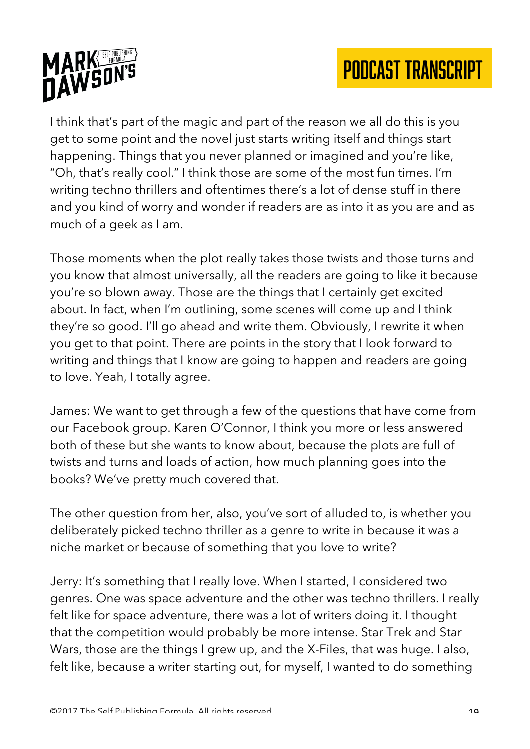



I think that's part of the magic and part of the reason we all do this is you get to some point and the novel just starts writing itself and things start happening. Things that you never planned or imagined and you're like, "Oh, that's really cool." I think those are some of the most fun times. I'm writing techno thrillers and oftentimes there's a lot of dense stuff in there and you kind of worry and wonder if readers are as into it as you are and as much of a geek as I am.

Those moments when the plot really takes those twists and those turns and you know that almost universally, all the readers are going to like it because you're so blown away. Those are the things that I certainly get excited about. In fact, when I'm outlining, some scenes will come up and I think they're so good. I'll go ahead and write them. Obviously, I rewrite it when you get to that point. There are points in the story that I look forward to writing and things that I know are going to happen and readers are going to love. Yeah, I totally agree.

James: We want to get through a few of the questions that have come from our Facebook group. Karen O'Connor, I think you more or less answered both of these but she wants to know about, because the plots are full of twists and turns and loads of action, how much planning goes into the books? We've pretty much covered that.

The other question from her, also, you've sort of alluded to, is whether you deliberately picked techno thriller as a genre to write in because it was a niche market or because of something that you love to write?

Jerry: It's something that I really love. When I started, I considered two genres. One was space adventure and the other was techno thrillers. I really felt like for space adventure, there was a lot of writers doing it. I thought that the competition would probably be more intense. Star Trek and Star Wars, those are the things I grew up, and the X-Files, that was huge. I also, felt like, because a writer starting out, for myself, I wanted to do something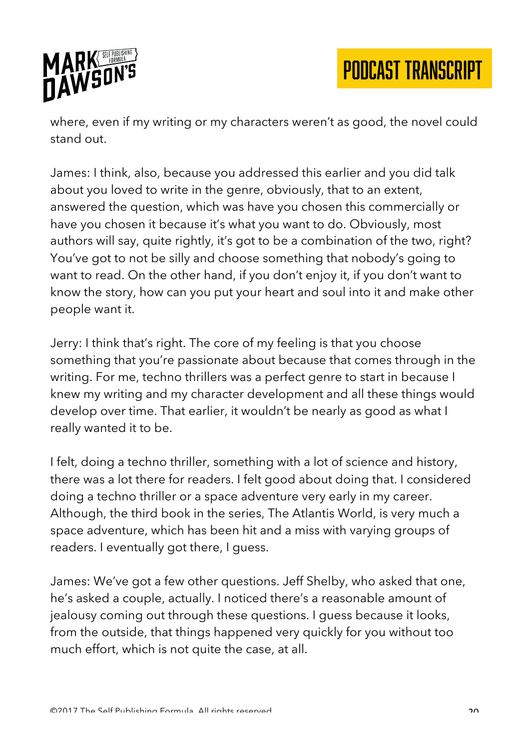

where, even if my writing or my characters weren't as good, the novel could stand out.

James: I think, also, because you addressed this earlier and you did talk about you loved to write in the genre, obviously, that to an extent, answered the question, which was have you chosen this commercially or have you chosen it because it's what you want to do. Obviously, most authors will say, quite rightly, it's got to be a combination of the two, right? You've got to not be silly and choose something that nobody's going to want to read. On the other hand, if you don't enjoy it, if you don't want to know the story, how can you put your heart and soul into it and make other people want it.

Jerry: I think that's right. The core of my feeling is that you choose something that you're passionate about because that comes through in the writing. For me, techno thrillers was a perfect genre to start in because I knew my writing and my character development and all these things would develop over time. That earlier, it wouldn't be nearly as good as what I really wanted it to be.

I felt, doing a techno thriller, something with a lot of science and history, there was a lot there for readers. I felt good about doing that. I considered doing a techno thriller or a space adventure very early in my career. Although, the third book in the series, The Atlantis World, is very much a space adventure, which has been hit and a miss with varying groups of readers. I eventually got there, I guess.

James: We've got a few other questions. Jeff Shelby, who asked that one, he's asked a couple, actually. I noticed there's a reasonable amount of jealousy coming out through these questions. I guess because it looks, from the outside, that things happened very quickly for you without too much effort, which is not quite the case, at all.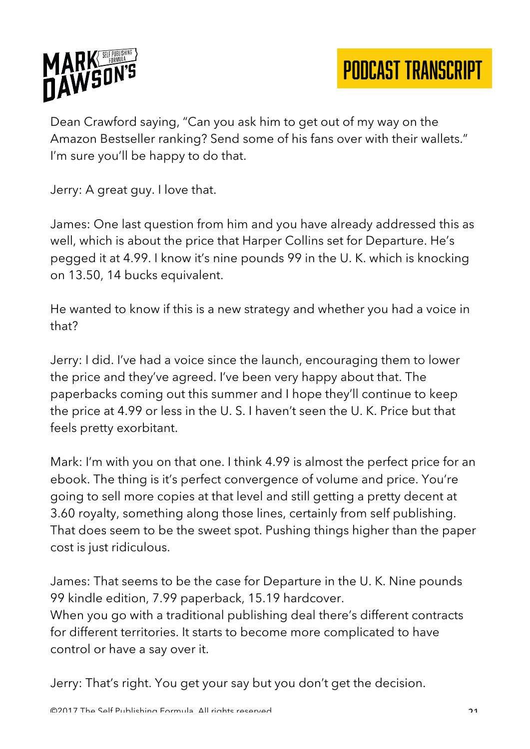

Dean Crawford saying, "Can you ask him to get out of my way on the Amazon Bestseller ranking? Send some of his fans over with their wallets." I'm sure you'll be happy to do that.

Jerry: A great guy. I love that.

James: One last question from him and you have already addressed this as well, which is about the price that Harper Collins set for Departure. He's pegged it at 4.99. I know it's nine pounds 99 in the U. K. which is knocking on 13.50, 14 bucks equivalent.

He wanted to know if this is a new strategy and whether you had a voice in that?

Jerry: I did. I've had a voice since the launch, encouraging them to lower the price and they've agreed. I've been very happy about that. The paperbacks coming out this summer and I hope they'll continue to keep the price at 4.99 or less in the U. S. I haven't seen the U. K. Price but that feels pretty exorbitant.

Mark: I'm with you on that one. I think 4.99 is almost the perfect price for an ebook. The thing is it's perfect convergence of volume and price. You're going to sell more copies at that level and still getting a pretty decent at 3.60 royalty, something along those lines, certainly from self publishing. That does seem to be the sweet spot. Pushing things higher than the paper cost is just ridiculous.

James: That seems to be the case for Departure in the U. K. Nine pounds 99 kindle edition, 7.99 paperback, 15.19 hardcover. When you go with a traditional publishing deal there's different contracts for different territories. It starts to become more complicated to have control or have a say over it.

Jerry: That's right. You get your say but you don't get the decision.